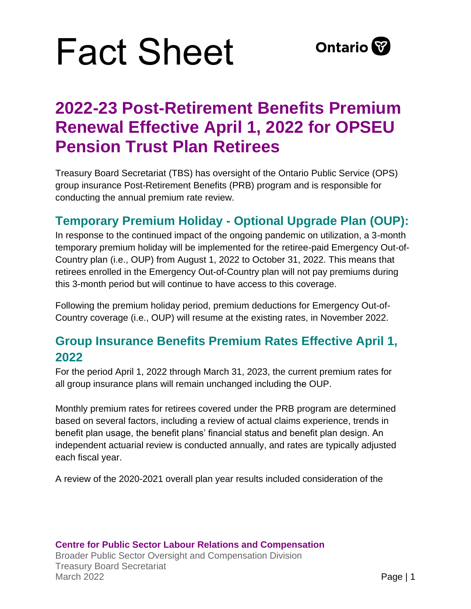

### **2022-23 Post-Retirement Benefits Premium Renewal Effective April 1, 2022 for OPSEU Pension Trust Plan Retirees**

Treasury Board Secretariat (TBS) has oversight of the Ontario Public Service (OPS) group insurance Post-Retirement Benefits (PRB) program and is responsible for conducting the annual premium rate review.

#### **Temporary Premium Holiday - Optional Upgrade Plan (OUP):**

In response to the continued impact of the ongoing pandemic on utilization, a 3-month temporary premium holiday will be implemented for the retiree-paid Emergency Out-of-Country plan (i.e., OUP) from August 1, 2022 to October 31, 2022. This means that retirees enrolled in the Emergency Out-of-Country plan will not pay premiums during this 3-month period but will continue to have access to this coverage.

Following the premium holiday period, premium deductions for Emergency Out-of-Country coverage (i.e., OUP) will resume at the existing rates, in November 2022.

#### **Group Insurance Benefits Premium Rates Effective April 1, 2022**

For the period April 1, 2022 through March 31, 2023, the current premium rates for all group insurance plans will remain unchanged including the OUP.

Monthly premium rates for retirees covered under the PRB program are determined based on several factors, including a review of actual claims experience, trends in benefit plan usage, the benefit plans' financial status and benefit plan design. An independent actuarial review is conducted annually, and rates are typically adjusted each fiscal year.

A review of the 2020-2021 overall plan year results included consideration of the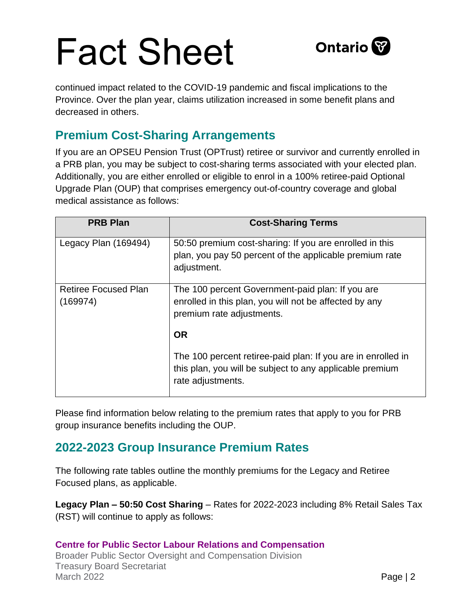

continued impact related to the COVID-19 pandemic and fiscal implications to the Province. Over the plan year, claims utilization increased in some benefit plans and decreased in others.

### **Premium Cost-Sharing Arrangements**

If you are an OPSEU Pension Trust (OPTrust) retiree or survivor and currently enrolled in a PRB plan, you may be subject to cost-sharing terms associated with your elected plan. Additionally, you are either enrolled or eligible to enrol in a 100% retiree-paid Optional Upgrade Plan (OUP) that comprises emergency out-of-country coverage and global medical assistance as follows:

| <b>PRB Plan</b>                         | <b>Cost-Sharing Terms</b>                                                                                                                     |
|-----------------------------------------|-----------------------------------------------------------------------------------------------------------------------------------------------|
| Legacy Plan (169494)                    | 50:50 premium cost-sharing: If you are enrolled in this<br>plan, you pay 50 percent of the applicable premium rate<br>adjustment.             |
| <b>Retiree Focused Plan</b><br>(169974) | The 100 percent Government-paid plan: If you are<br>enrolled in this plan, you will not be affected by any<br>premium rate adjustments.       |
|                                         | <b>OR</b>                                                                                                                                     |
|                                         | The 100 percent retiree-paid plan: If you are in enrolled in<br>this plan, you will be subject to any applicable premium<br>rate adjustments. |

Please find information below relating to the premium rates that apply to you for PRB group insurance benefits including the OUP.

#### **2022-2023 Group Insurance Premium Rates**

The following rate tables outline the monthly premiums for the Legacy and Retiree Focused plans, as applicable.

**Legacy Plan – 50:50 Cost Sharing** – Rates for 2022-2023 including 8% Retail Sales Tax (RST) will continue to apply as follows:

**Centre for Public Sector Labour Relations and Compensation** Broader Public Sector Oversight and Compensation Division Treasury Board Secretariat March 2022 **Page | 2**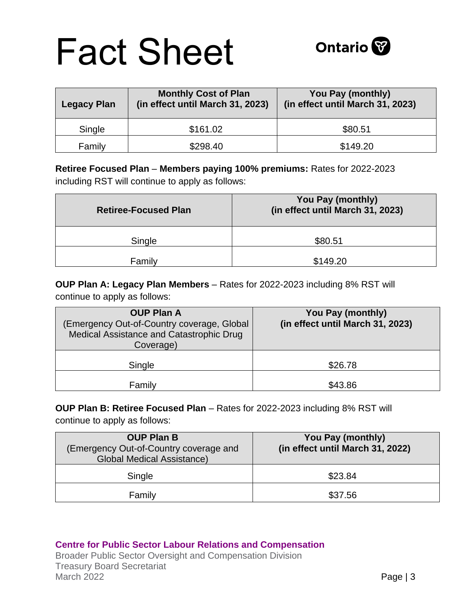| <b>Legacy Plan</b> | <b>Monthly Cost of Plan</b><br>(in effect until March 31, 2023) | You Pay (monthly)<br>(in effect until March 31, 2023) |
|--------------------|-----------------------------------------------------------------|-------------------------------------------------------|
| Single             | \$161.02                                                        | \$80.51                                               |
| Family             | \$298.40                                                        | \$149.20                                              |

**Retiree Focused Plan** – **Members paying 100% premiums:** Rates for 2022-2023 including RST will continue to apply as follows:

| <b>Retiree-Focused Plan</b> | You Pay (monthly)<br>(in effect until March 31, 2023) |
|-----------------------------|-------------------------------------------------------|
| Single                      | \$80.51                                               |
| Family                      | \$149.20                                              |

**OUP Plan A: Legacy Plan Members** – Rates for 2022-2023 including 8% RST will continue to apply as follows:

| <b>OUP Plan A</b><br>(Emergency Out-of-Country coverage, Global<br>Medical Assistance and Catastrophic Drug<br>Coverage) | You Pay (monthly)<br>(in effect until March 31, 2023) |
|--------------------------------------------------------------------------------------------------------------------------|-------------------------------------------------------|
| Single                                                                                                                   | \$26.78                                               |
| Family                                                                                                                   | \$43.86                                               |

**OUP Plan B: Retiree Focused Plan** – Rates for 2022-2023 including 8% RST will continue to apply as follows:

| <b>OUP Plan B</b><br>(Emergency Out-of-Country coverage and<br><b>Global Medical Assistance)</b> | You Pay (monthly)<br>(in effect until March 31, 2022) |
|--------------------------------------------------------------------------------------------------|-------------------------------------------------------|
| Single                                                                                           | \$23.84                                               |
| Family                                                                                           | \$37.56                                               |

#### **Centre for Public Sector Labour Relations and Compensation**